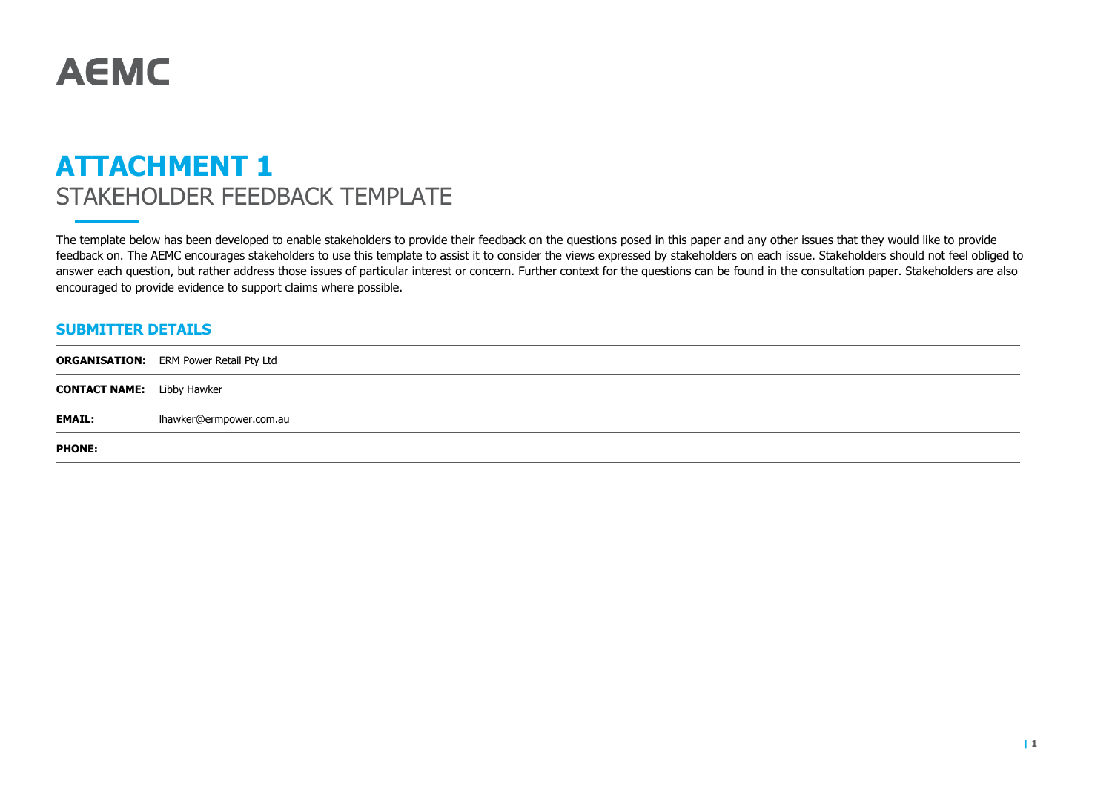# **AEMC**

## **ATTACHMENT 1** STAKEHOLDER FEEDBACK TEMPLATE

The template below has been developed to enable stakeholders to provide their feedback on the questions posed in this paper and any other issues that they would like to provide feedback on. The AEMC encourages stakeholders to use this template to assist it to consider the views expressed by stakeholders on each issue. Stakeholders should not feel obliged to answer each question, but rather address those issues of particular interest or concern. Further context for the questions can be found in the consultation paper. Stakeholders are also encouraged to provide evidence to support claims where possible.

### **SUBMITTER DETAILS**

|                                   | <b>ORGANISATION:</b> ERM Power Retail Pty Ltd |
|-----------------------------------|-----------------------------------------------|
| <b>CONTACT NAME:</b> Libby Hawker |                                               |
| <b>EMAIL:</b>                     | lhawker@ermpower.com.au                       |
| <b>PHONE:</b>                     |                                               |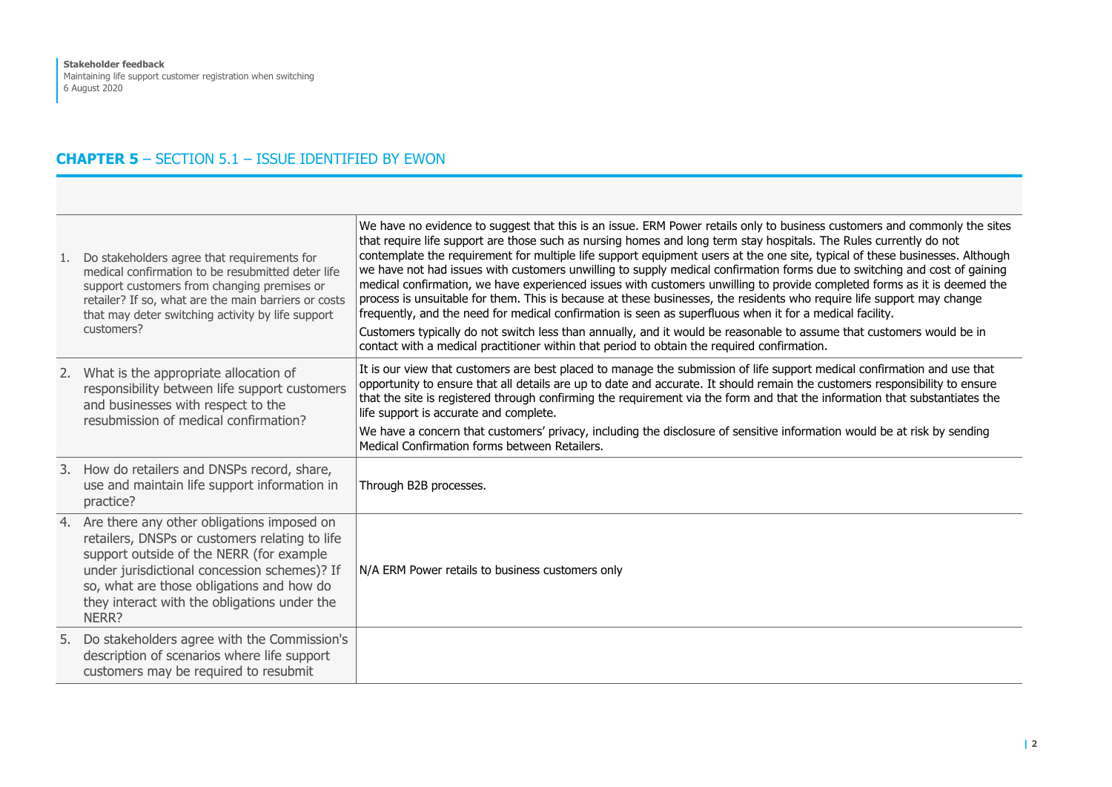## **CHAPTER 5** – SECTION 5.1 – ISSUE IDENTIFIED BY EWON

| 1. Do stakeholders agree that requirements for<br>medical confirmation to be resubmitted deter life<br>support customers from changing premises or<br>retailer? If so, what are the main barriers or costs<br>that may deter switching activity by life support<br>customers?                     | We have no evidence to suggest that this is an issue. ERM Power retails only to business customers and commonly the sites<br>that require life support are those such as nursing homes and long term stay hospitals. The Rules currently do not<br>contemplate the requirement for multiple life support equipment users at the one site, typical of these businesses. Although<br>we have not had issues with customers unwilling to supply medical confirmation forms due to switching and cost of gaining<br>medical confirmation, we have experienced issues with customers unwilling to provide completed forms as it is deemed the<br>process is unsuitable for them. This is because at these businesses, the residents who require life support may change<br>frequently, and the need for medical confirmation is seen as superfluous when it for a medical facility.<br>Customers typically do not switch less than annually, and it would be reasonable to assume that customers would be in<br>contact with a medical practitioner within that period to obtain the required confirmation. |
|---------------------------------------------------------------------------------------------------------------------------------------------------------------------------------------------------------------------------------------------------------------------------------------------------|--------------------------------------------------------------------------------------------------------------------------------------------------------------------------------------------------------------------------------------------------------------------------------------------------------------------------------------------------------------------------------------------------------------------------------------------------------------------------------------------------------------------------------------------------------------------------------------------------------------------------------------------------------------------------------------------------------------------------------------------------------------------------------------------------------------------------------------------------------------------------------------------------------------------------------------------------------------------------------------------------------------------------------------------------------------------------------------------------------|
| 2. What is the appropriate allocation of<br>responsibility between life support customers<br>and businesses with respect to the<br>resubmission of medical confirmation?                                                                                                                          | It is our view that customers are best placed to manage the submission of life support medical confirmation and use that<br>opportunity to ensure that all details are up to date and accurate. It should remain the customers responsibility to ensure<br>that the site is registered through confirming the requirement via the form and that the information that substantiates the<br>life support is accurate and complete.<br>We have a concern that customers' privacy, including the disclosure of sensitive information would be at risk by sending<br>Medical Confirmation forms between Retailers.                                                                                                                                                                                                                                                                                                                                                                                                                                                                                          |
| 3. How do retailers and DNSPs record, share,<br>use and maintain life support information in<br>practice?                                                                                                                                                                                         | Through B2B processes.                                                                                                                                                                                                                                                                                                                                                                                                                                                                                                                                                                                                                                                                                                                                                                                                                                                                                                                                                                                                                                                                                 |
| 4. Are there any other obligations imposed on<br>retailers, DNSPs or customers relating to life<br>support outside of the NERR (for example<br>under jurisdictional concession schemes)? If<br>so, what are those obligations and how do<br>they interact with the obligations under the<br>NERR? | N/A ERM Power retails to business customers only                                                                                                                                                                                                                                                                                                                                                                                                                                                                                                                                                                                                                                                                                                                                                                                                                                                                                                                                                                                                                                                       |
| 5. Do stakeholders agree with the Commission's<br>description of scenarios where life support<br>customers may be required to resubmit                                                                                                                                                            |                                                                                                                                                                                                                                                                                                                                                                                                                                                                                                                                                                                                                                                                                                                                                                                                                                                                                                                                                                                                                                                                                                        |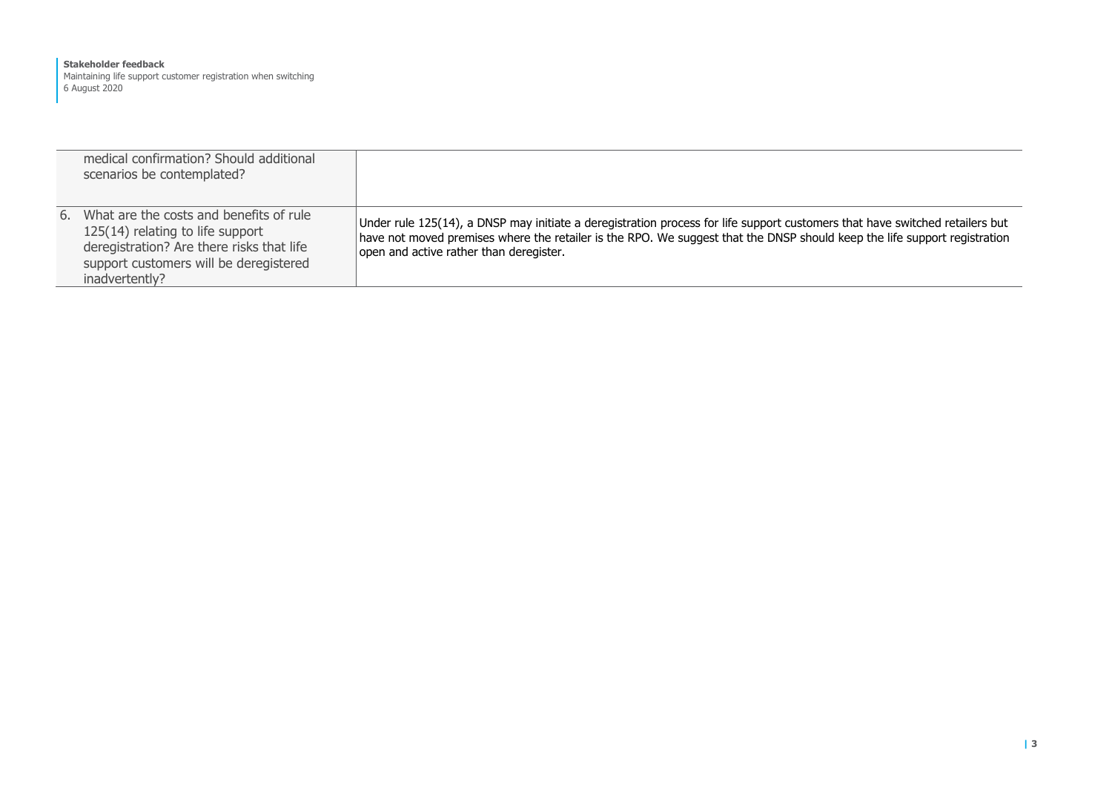#### **Stakeholder feedback** Maintaining life support customer registration when switching 6 August 2020

| medical confirmation? Should additional<br>scenarios be contemplated?                                                                                                                   |                                                                                                                                                                                                                                                                                                      |
|-----------------------------------------------------------------------------------------------------------------------------------------------------------------------------------------|------------------------------------------------------------------------------------------------------------------------------------------------------------------------------------------------------------------------------------------------------------------------------------------------------|
| 6. What are the costs and benefits of rule<br>125(14) relating to life support<br>deregistration? Are there risks that life<br>support customers will be deregistered<br>inadvertently? | Under rule 125(14), a DNSP may initiate a deregistration process for life support customers that have switched retailers but<br>have not moved premises where the retailer is the RPO. We suggest that the DNSP should keep the life support registration<br>open and active rather than deregister. |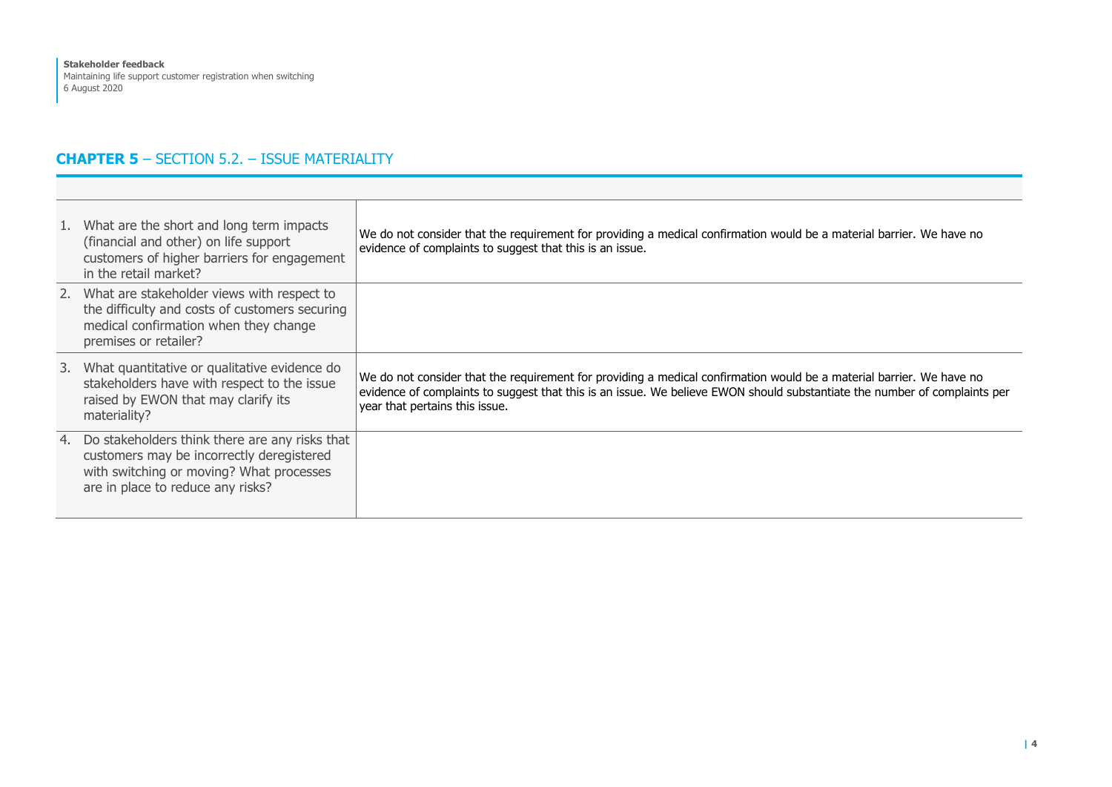## **CHAPTER 5** – SECTION 5.2. – ISSUE MATERIALITY

| 1. What are the short and long term impacts<br>(financial and other) on life support<br>customers of higher barriers for engagement<br>in the retail market?                    | We do not consider that the requirement for providing a medical confirmation would be a material barrier. We have no<br>evidence of complaints to suggest that this is an issue.                                                                                                    |
|---------------------------------------------------------------------------------------------------------------------------------------------------------------------------------|-------------------------------------------------------------------------------------------------------------------------------------------------------------------------------------------------------------------------------------------------------------------------------------|
| 2. What are stakeholder views with respect to<br>the difficulty and costs of customers securing<br>medical confirmation when they change<br>premises or retailer?               |                                                                                                                                                                                                                                                                                     |
| 3. What quantitative or qualitative evidence do<br>stakeholders have with respect to the issue<br>raised by EWON that may clarify its<br>materiality?                           | We do not consider that the requirement for providing a medical confirmation would be a material barrier. We have no<br>evidence of complaints to suggest that this is an issue. We believe EWON should substantiate the number of complaints per<br>year that pertains this issue. |
| 4. Do stakeholders think there are any risks that<br>customers may be incorrectly deregistered<br>with switching or moving? What processes<br>are in place to reduce any risks? |                                                                                                                                                                                                                                                                                     |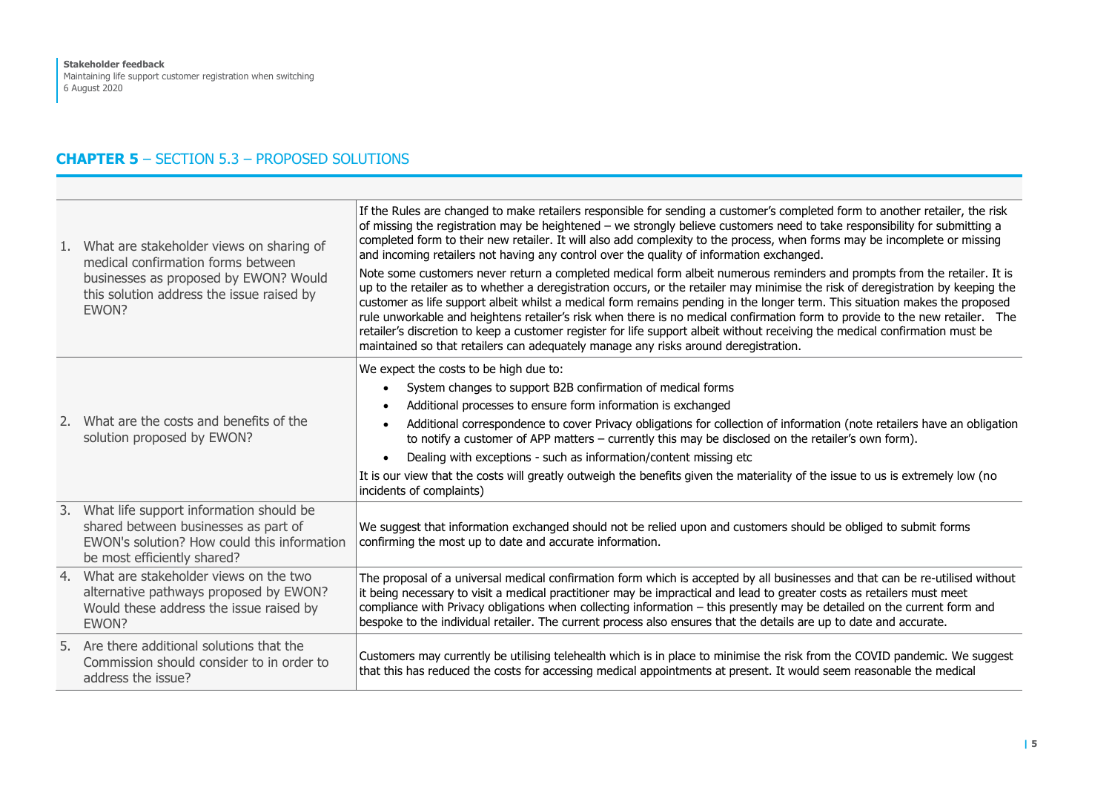## **CHAPTER 5** – SECTION 5.3 – PROPOSED SOLUTIONS

| 1. What are stakeholder views on sharing of<br>medical confirmation forms between<br>businesses as proposed by EWON? Would<br>this solution address the issue raised by<br>EWON? | If the Rules are changed to make retailers responsible for sending a customer's completed form to another retailer, the risk<br>of missing the registration may be heightened - we strongly believe customers need to take responsibility for submitting a<br>completed form to their new retailer. It will also add complexity to the process, when forms may be incomplete or missing<br>and incoming retailers not having any control over the quality of information exchanged.<br>Note some customers never return a completed medical form albeit numerous reminders and prompts from the retailer. It is<br>up to the retailer as to whether a deregistration occurs, or the retailer may minimise the risk of deregistration by keeping the<br>customer as life support albeit whilst a medical form remains pending in the longer term. This situation makes the proposed<br>rule unworkable and heightens retailer's risk when there is no medical confirmation form to provide to the new retailer. The<br>retailer's discretion to keep a customer register for life support albeit without receiving the medical confirmation must be<br>maintained so that retailers can adequately manage any risks around deregistration. |
|----------------------------------------------------------------------------------------------------------------------------------------------------------------------------------|-------------------------------------------------------------------------------------------------------------------------------------------------------------------------------------------------------------------------------------------------------------------------------------------------------------------------------------------------------------------------------------------------------------------------------------------------------------------------------------------------------------------------------------------------------------------------------------------------------------------------------------------------------------------------------------------------------------------------------------------------------------------------------------------------------------------------------------------------------------------------------------------------------------------------------------------------------------------------------------------------------------------------------------------------------------------------------------------------------------------------------------------------------------------------------------------------------------------------------------------|
| 2. What are the costs and benefits of the<br>solution proposed by EWON?                                                                                                          | We expect the costs to be high due to:<br>System changes to support B2B confirmation of medical forms<br>$\bullet$<br>Additional processes to ensure form information is exchanged<br>$\bullet$<br>Additional correspondence to cover Privacy obligations for collection of information (note retailers have an obligation<br>to notify a customer of APP matters - currently this may be disclosed on the retailer's own form).<br>Dealing with exceptions - such as information/content missing etc<br>$\bullet$<br>It is our view that the costs will greatly outweigh the benefits given the materiality of the issue to us is extremely low (no<br>incidents of complaints)                                                                                                                                                                                                                                                                                                                                                                                                                                                                                                                                                          |
| 3. What life support information should be<br>shared between businesses as part of<br>EWON's solution? How could this information<br>be most efficiently shared?                 | We suggest that information exchanged should not be relied upon and customers should be obliged to submit forms<br>confirming the most up to date and accurate information.                                                                                                                                                                                                                                                                                                                                                                                                                                                                                                                                                                                                                                                                                                                                                                                                                                                                                                                                                                                                                                                               |
| 4. What are stakeholder views on the two<br>alternative pathways proposed by EWON?<br>Would these address the issue raised by<br>EWON?                                           | The proposal of a universal medical confirmation form which is accepted by all businesses and that can be re-utilised without<br>it being necessary to visit a medical practitioner may be impractical and lead to greater costs as retailers must meet<br>compliance with Privacy obligations when collecting information - this presently may be detailed on the current form and<br>bespoke to the individual retailer. The current process also ensures that the details are up to date and accurate.                                                                                                                                                                                                                                                                                                                                                                                                                                                                                                                                                                                                                                                                                                                                 |
| 5. Are there additional solutions that the<br>Commission should consider to in order to<br>address the issue?                                                                    | Customers may currently be utilising telehealth which is in place to minimise the risk from the COVID pandemic. We suggest<br>that this has reduced the costs for accessing medical appointments at present. It would seem reasonable the medical                                                                                                                                                                                                                                                                                                                                                                                                                                                                                                                                                                                                                                                                                                                                                                                                                                                                                                                                                                                         |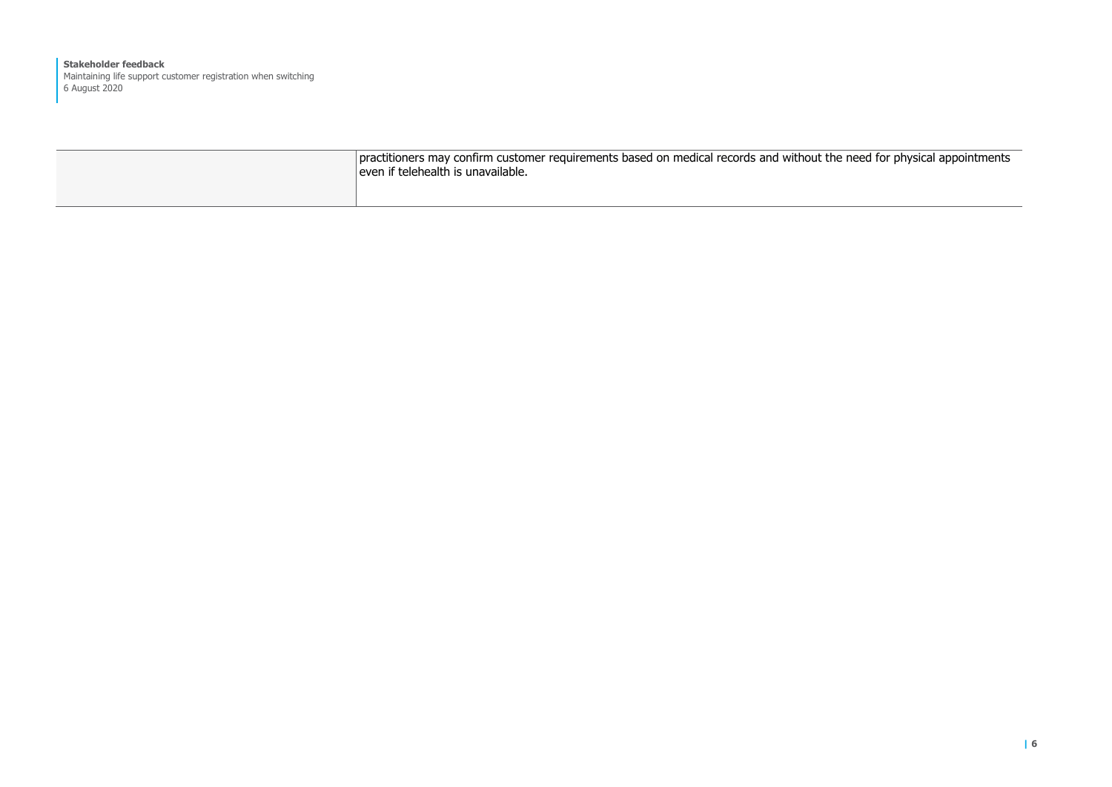**Stakeholder feedback** Maintaining life support customer registration when switching 6 August 2020

| practitioners may confirm customer requirements based on medical records and without the need for physical appointments<br>even if telehealth is unavailable. |
|---------------------------------------------------------------------------------------------------------------------------------------------------------------|
|                                                                                                                                                               |